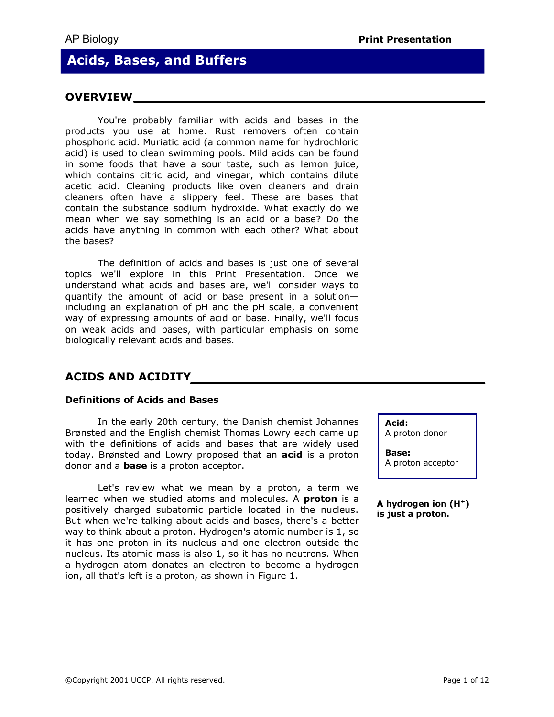# **Acids, Bases, and Buffers**

# **OVERVIEW**

You're probably familiar with acids and bases in the products you use at home. Rust removers often contain phosphoric acid. Muriatic acid (a common name for hydrochloric acid) is used to clean swimming pools. Mild acids can be found in some foods that have a sour taste, such as lemon juice, which contains citric acid, and vinegar, which contains dilute acetic acid. Cleaning products like oven cleaners and drain cleaners often have a slippery feel. These are bases that contain the substance sodium hydroxide. What exactly do we mean when we say something is an acid or a base? Do the acids have anything in common with each other? What about the bases?

The definition of acids and bases is just one of several topics we'll explore in this Print Presentation. Once we understand what acids and bases are, we'll consider ways to quantify the amount of acid or base present in a solutionincluding an explanation of pH and the pH scale, a convenient way of expressing amounts of acid or base. Finally, we'll focus on weak acids and bases, with particular emphasis on some biologically relevant acids and bases.

# **ACIDS AND ACIDITY**

#### **Definitions of Acids and Bases**

In the early 20th century, the Danish chemist Johannes Brønsted and the English chemist Thomas Lowry each came up with the definitions of acids and bases that are widely used today. Brønsted and Lowry proposed that an **acid** is a proton donor and a **base** is a proton acceptor.

Let's review what we mean by a proton, a term we learned when we studied atoms and molecules. A **proton** is a positively charged subatomic particle located in the nucleus. But when we're talking about acids and bases, there's a better way to think about a proton. Hydrogen's atomic number is 1, so it has one proton in its nucleus and one electron outside the nucleus. Its atomic mass is also 1, so it has no neutrons. When a hydrogen atom donates an electron to become a hydrogen ion, all that's left is a proton, as shown in Figure 1.

**Acid:** 

A proton donor

**Base:** A proton acceptor

**A hydrogen ion (H <sup>+</sup> ) is just a proton.**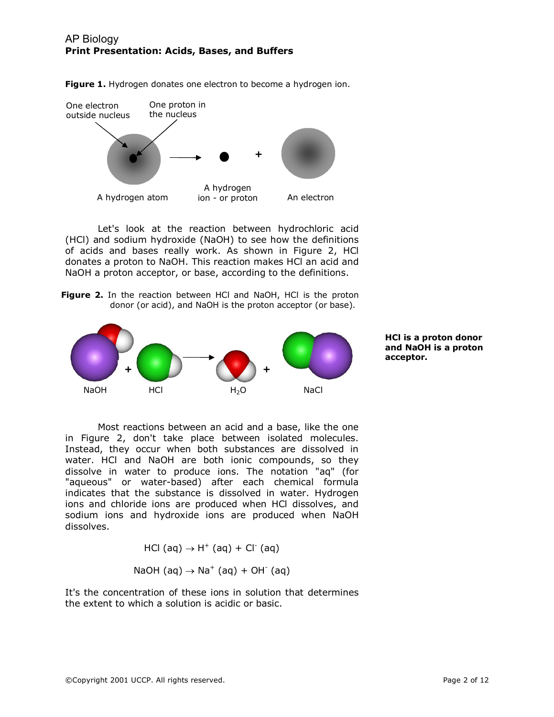

Figure 1. Hydrogen donates one electron to become a hydrogen ion.

Let's look at the reaction between hydrochloric acid (HCl) and sodium hydroxide (NaOH) to see how the definitions of acids and bases really work. As shown in Figure 2, HCl donates a proton to NaOH. This reaction makes HCl an acid and NaOH a proton acceptor, or base, according to the definitions.

**Figure 2.** In the reaction between HCl and NaOH, HCl is the proton donor (or acid), and NaOH is the proton acceptor (or base).



**HCl is a proton donor and NaOH is a proton acceptor.** 

Most reactions between an acid and a base, like the one in Figure 2, don't take place between isolated molecules. Instead, they occur when both substances are dissolved in water. HCl and NaOH are both ionic compounds, so they dissolve in water to produce ions. The notation "aq" (for "aqueous" or water-based) after each chemical formula indicates that the substance is dissolved in water. Hydrogen ions and chloride ions are produced when HCl dissolves, and sodium ions and hydroxide ions are produced when NaOH dissolves.

$$
HCl (aq) \rightarrow H^+ (aq) + Cl^-(aq)
$$

NaOH (aq) 
$$
\rightarrow
$$
 Na<sup>+</sup> (aq) + OH<sup>-</sup> (aq)

It's the concentration of these ions in solution that determines the extent to which a solution is acidic or basic.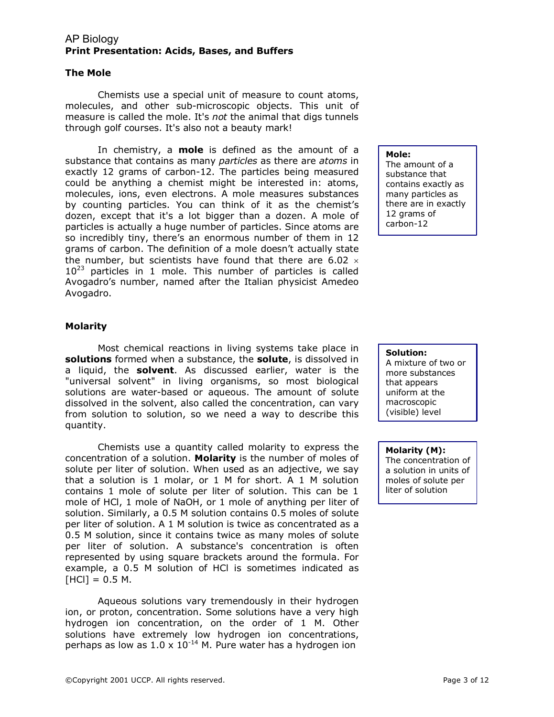#### **The Mole**

Chemists use a special unit of measure to count atoms, molecules, and other sub-microscopic objects. This unit of measure is called the mole. It's *not* the animal that digs tunnels through golf courses. It's also not a beauty mark!

In chemistry, a **mole**  is defined as the amount of a substance that contains as many *particles* as there are *atoms* in exactly 12 grams of carbon-12. The particles being measured could be anything a chemist might be interested in: atoms, molecules, ions, even electrons. A mole measures substances by counting particles. You can think of it as the chemist's dozen, except that it's a lot bigger than a dozen. A mole of particles is actually a huge number of particles. Since atoms are so incredibly tiny, there's an enormous number of them in 12 grams of carbon. The definition of a mole doesn't actually state the number, but scientists have found that there are 6.02  $\times$  $10^{23}$  particles in 1 mole. This number of particles is called Avogadro's number, named after the Italian physicist Amedeo Avogadro.

#### **Mole:**

The amount of a substance that contains exactly as many particles as there are in exactly 12 grams of carbon-12

### **Molarity**

Most chemical reactions in living systems take place in **solutions** formed when a substance, the **solute**, is dissolved in a liquid, the **solvent**. As discussed earlier, water is the "universal solvent" in living organisms, so most biological solutions are water-based or aqueous. The amount of solute dissolved in the solvent, also called the concentration, can vary from solution to solution, so we need a way to describe this quantity.

Chemists use a quantity called molarity to express the concentration of a solution. **Molarity** is the number of moles of solute per liter of solution. When used as an adjective, we say that a solution is 1 molar, or 1 M for short. A 1 M solution contains 1 mole of solute per liter of solution. This can be 1 mole of HCl, 1 mole of NaOH, or 1 mole of anything per liter of solution. Similarly, a 0.5 M solution contains 0.5 moles of solute per liter of solution. A 1 M solution is twice as concentrated as a 0.5 M solution, since it contains twice as many moles of solute per liter of solution. A substance's concentration is often represented by using square brackets around the formula. For example, a 0.5 M solution of HCl is sometimes indicated as  $[HCI] = 0.5 M$ .

Aqueous solutions vary tremendously in their hydrogen ion, or proton, concentration. Some solutions have a very high hydrogen ion concentration, on the order of 1 M. Other solutions have extremely low hydrogen ion concentrations, perhaps as low as  $1.0 \times 10^{-14}$  M. Pure water has a hydrogen ion

#### **Solution:**

A mixture of two or more substances that appears uniform at the macroscopic (visible) level

### **Molarity (M):**

The concentration of a solution in units of moles of solute per liter of solution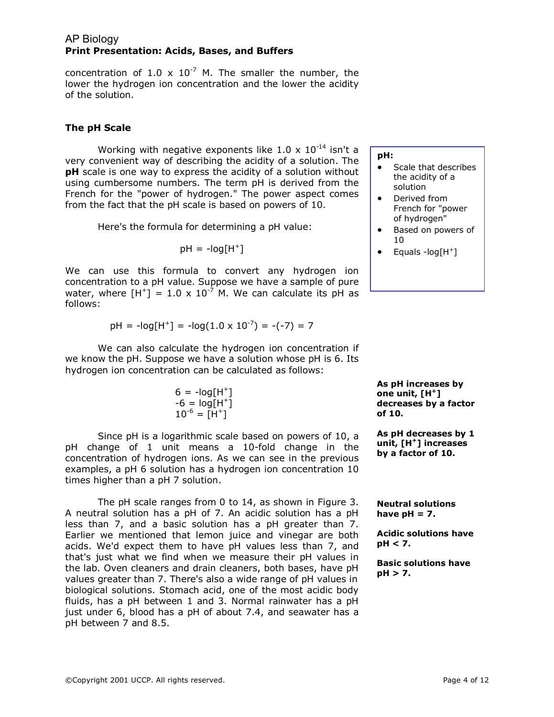concentration of 1.0  $\times$  10<sup>-7</sup> M. The smaller the number, the lower the hydrogen ion concentration and the lower the acidity of the solution.

# **The pH Scale**

Working with negative exponents like 1.0 x  $10^{-14}$  isn't a very convenient way of describing the acidity of a solution. The **pH** scale is one way to express the acidity of a solution without using cumbersome numbers. The term pH is derived from the French for the "power of hydrogen." The power aspect comes from the fact that the pH scale is based on powers of 10.

Here's the formula for determining a pH value:

$$
pH = -log[H^+]
$$

We can use this formula to convert any hydrogen ion concentration to a pH value. Suppose we have a sample of pure water, where  $[H^+] = 1.0 \times 10^{-7}$  M. We can calculate its pH as follows:

$$
pH = -log[H^+] = -log(1.0 \times 10^{-7}) = -(-7) = 7
$$

We can also calculate the hydrogen ion concentration if we know the pH. Suppose we have a solution whose pH is 6. Its hydrogen ion concentration can be calculated as follows:

$$
6 = -\log[H^+]
$$
  
-6 = log[H^+]  

$$
10^{-6} = [H^+]
$$

Since pH is a logarithmic scale based on powers of 10, a pH change of 1 unit means a 10-fold change in the concentration of hydrogen ions. As we can see in the previous examples, a pH 6 solution has a hydrogen ion concentration 10 times higher than a pH 7 solution.

The pH scale ranges from 0 to 14, as shown in Figure 3. A neutral solution has a pH of 7. An acidic solution has a pH less than 7, and a basic solution has a pH greater than 7. Earlier we mentioned that lemon juice and vinegar are both acids. We'd expect them to have pH values less than 7, and that's just what we find when we measure their pH values in the lab. Oven cleaners and drain cleaners, both bases, have pH values greater than 7. There's also a wide range of pH values in biological solutions. Stomach acid, one of the most acidic body fluids, has a pH between 1 and 3. Normal rainwater has a pH just under 6, blood has a pH of about 7.4, and seawater has a pH between 7 and 8.5.

#### **pH:**

- · Scale that describes the acidity of a solution
- · Derived from French for "power of hydrogen"
- Based on powers of 10
- $\bullet$  Equals -log[H<sup>+</sup>]

**As pH increases by one unit, [H <sup>+</sup> ] decreases by a factor of 10.** 

**As pH decreases by 1 unit, [H <sup>+</sup> ] increases by a factor of 10.** 

**Neutral solutions** have  $pH = 7$ .

**Acidic solutions have pH < 7.** 

**Basic solutions have pH > 7.**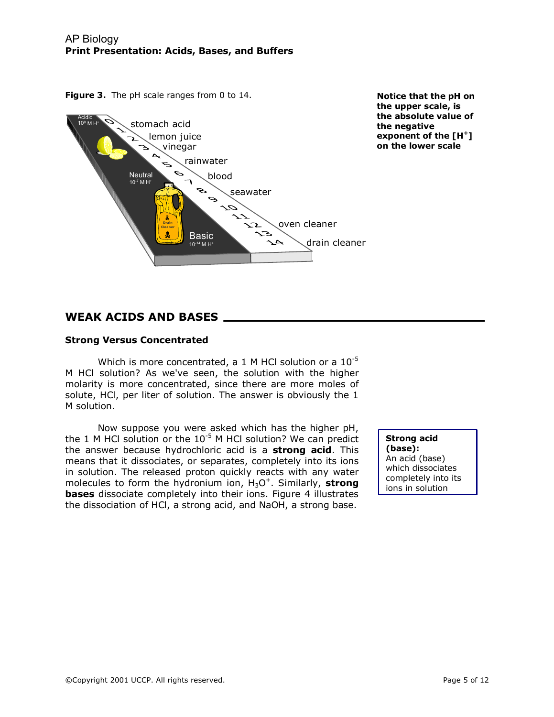

**Notice that the pH on the upper scale, is the absolute value of the negative exponent of the [H <sup>+</sup> ] on the lower scale** 

# **WEAK ACIDS AND BASES**

### **Strong Versus Concentrated**

Which is more concentrated, a 1 M HCl solution or a  $10^{-5}$ M HCl solution? As we've seen, the solution with the higher molarity is more concentrated, since there are more moles of solute, HCl, per liter of solution. The answer is obviously the 1 M solution.

Now suppose you were asked which has the higher pH, the 1 M HCl solution or the  $10^{-5}$  M HCl solution? We can predict the answer because hydrochloric acid is a **strong acid**. This means that it dissociates, or separates, completely into its ions in solution. The released proton quickly reacts with any water molecules to form the hydronium ion,  $H_3O^+$ . Similarly, **strong bases** dissociate completely into their ions. Figure 4 illustrates the dissociation of HCl, a strong acid, and NaOH, a strong base.

**Strong acid (base):**  An acid (base) which dissociates completely into its ions in solution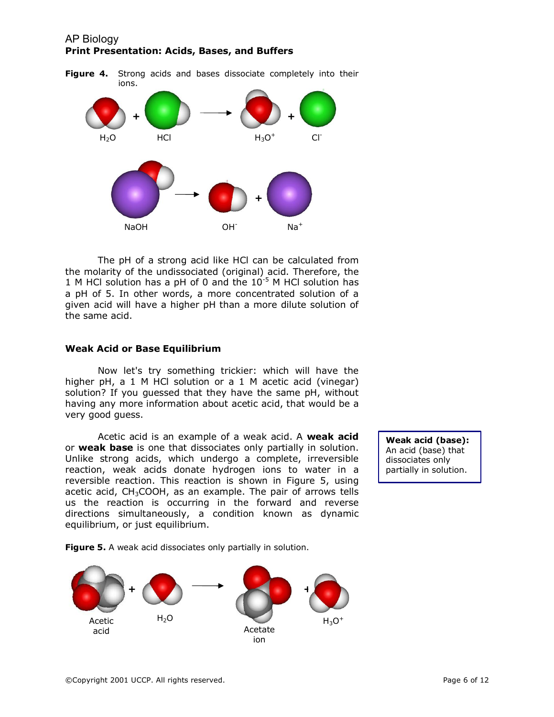

The pH of a strong acid like HCl can be calculated from the molarity of the undissociated (original) acid. Therefore, the 1 M HCl solution has a pH of 0 and the  $10^{-5}$  M HCl solution has a pH of 5. In other words, a more concentrated solution of a given acid will have a higher pH than a more dilute solution of the same acid.

### **Weak Acid or Base Equilibrium**

Now let's try something trickier: which will have the higher pH, a 1 M HCl solution or a 1 M acetic acid (vinegar) solution? If you guessed that they have the same pH, without having any more information about acetic acid, that would be a very good guess.

Acetic acid is an example of a weak acid. A **weak acid** or **weak base** is one that dissociates only partially in solution. Unlike strong acids, which undergo a complete, irreversible reaction, weak acids donate hydrogen ions to water in a reversible reaction. This reaction is shown in Figure 5, using acetic acid,  $CH<sub>3</sub>COOH$ , as an example. The pair of arrows tells us the reaction is occurring in the forward and reverse directions simultaneously, a condition known as dynamic equilibrium, or just equilibrium.

**Weak acid (base):**  An acid (base) that dissociates only partially in solution.

**Figure 5.** A weak acid dissociates only partially in solution.

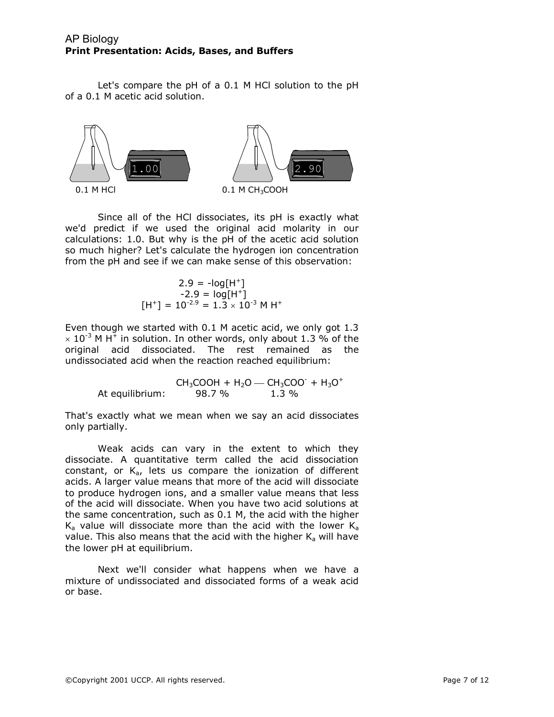Let's compare the pH of a 0.1 M HCl solution to the pH of a 0.1 M acetic acid solution.



Since all of the HCl dissociates, its pH is exactly what we'd predict if we used the original acid molarity in our calculations: 1.0. But why is the pH of the acetic acid solution so much higher? Let's calculate the hydrogen ion concentration from the pH and see if we can make sense of this observation:

$$
2.9 = -\log[H^+]
$$
  
-2.9 = log[H<sup>+</sup>]  
[H<sup>+</sup>] = 10<sup>-2.9</sup> = 1.3 × 10<sup>-3</sup> M H<sup>+</sup>

Even though we started with 0.1 M acetic acid, we only got 1.3  $\times$  10<sup>-3</sup> M H<sup>+</sup> in solution. In other words, only about 1.3 % of the original acid dissociated. The rest remained as the undissociated acid when the reaction reached equilibrium:

> $CH_3COOH + H_2O - CH_3COO + H_3O^+$ <br>98.7 % 1.3 % At equilibrium:

That's exactly what we mean when we say an acid dissociates only partially.

Weak acids can vary in the extent to which they dissociate. A quantitative term called the acid dissociation constant, or  $K_{a}$ , lets us compare the ionization of different acids. A larger value means that more of the acid will dissociate to produce hydrogen ions, and a smaller value means that less of the acid will dissociate. When you have two acid solutions at the same concentration, such as 0.1 M, the acid with the higher  $K_a$  value will dissociate more than the acid with the lower  $K_a$ value. This also means that the acid with the higher  $K_a$  will have the lower pH at equilibrium.

Next we'll consider what happens when we have a mixture of undissociated and dissociated forms of a weak acid or base.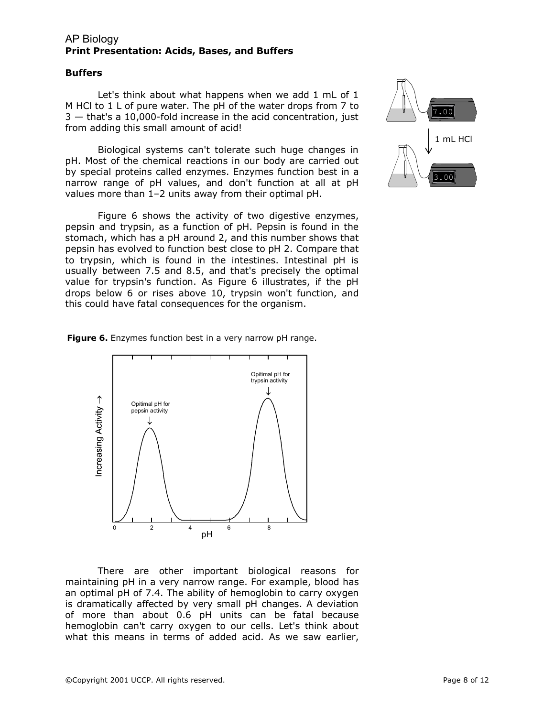#### **Buffers**

Let's think about what happens when we add 1 mL of 1 M HCl to 1 L of pure water. The pH of the water drops from 7 to  $3 -$  that's a 10,000-fold increase in the acid concentration, just from adding this small amount of acid!

Biological systems can't tolerate such huge changes in pH. Most of the chemical reactions in our body are carried out by special proteins called enzymes. Enzymes function best in a narrow range of pH values, and don't function at all at pH values more than 1–2 units away from their optimal pH.

Figure 6 shows the activity of two digestive enzymes, pepsin and trypsin, as a function of pH. Pepsin is found in the stomach, which has a pH around 2, and this number shows that pepsin has evolved to function best close to pH 2. Compare that to trypsin, which is found in the intestines. Intestinal pH is usually between 7.5 and 8.5, and that's precisely the optimal value for trypsin's function. As Figure 6 illustrates, if the pH drops below 6 or rises above 10, trypsin won't function, and this could have fatal consequences for the organism.

Figure 6. Enzymes function best in a very narrow pH range.



There are other important biological reasons for maintaining pH in a very narrow range. For example, blood has an optimal pH of 7.4. The ability of hemoglobin to carry oxygen is dramatically affected by very small pH changes. A deviation of more than about 0.6 pH units can be fatal because hemoglobin can't carry oxygen to our cells. Let's think about what this means in terms of added acid. As we saw earlier,

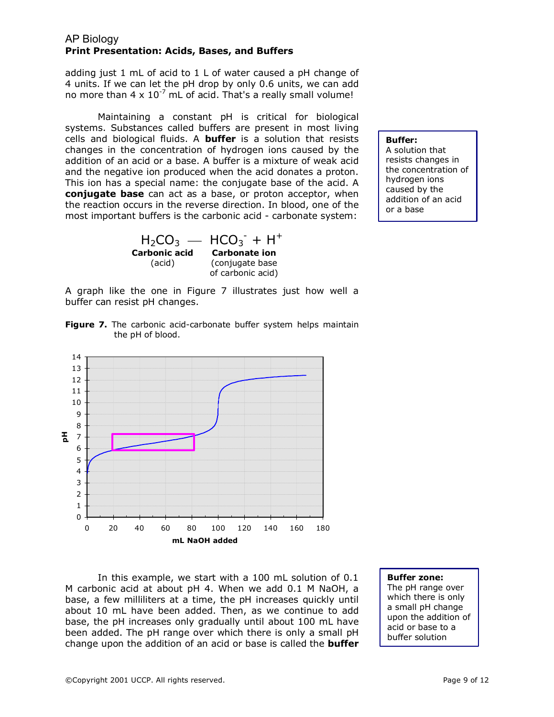adding just 1 mL of acid to 1 L of water caused a pH change of 4 units. If we can let the pH drop by only 0.6 units, we can add no more than  $4 \times 10^{-7}$  mL of acid. That's a really small volume!

Maintaining a constant pH is critical for biological systems. Substances called buffers are present in most living cells and biological fluids. A **buffer**  is a solution that resists changes in the concentration of hydrogen ions caused by the addition of an acid or a base. A buffer is a mixture of weak acid and the negative ion produced when the acid donates a proton. This ion has a special name: the conjugate base of the acid. A **conjugate base**  can act as a base, or proton acceptor, when the reaction occurs in the reverse direction. In blood, one of the most important buffers is the carbonic acid - carbonate system:

> $H_2CO_3$  —  $HCO_3$ <sup>-</sup> +  $H^+$ **Carbonate ion**  (conjugate base of carbonic acid) **Carbonic acid** (acid)

**Buffer:** 

A solution that resists changes in the concentration of hydrogen ions caused by the addition of an acid or a base

A graph like the one in Figure 7 illustrates just how well a buffer can resist pH changes.

Figure 7. The carbonic acid-carbonate buffer system helps maintain the pH of blood.



In this example, we start with a 100 mL solution of 0.1 M carbonic acid at about pH 4. When we add 0.1 M NaOH, a base, a few milliliters at a time, the pH increases quickly until about 10 mL have been added. Then, as we continue to add base, the pH increases only gradually until about 100 mL have been added. The pH range over which there is only a small pH change upon the addition of an acid or base is called the **buffer** 

#### **Buffer zone:**

The pH range over which there is only a small pH change upon the addition of acid or base to a buffer solution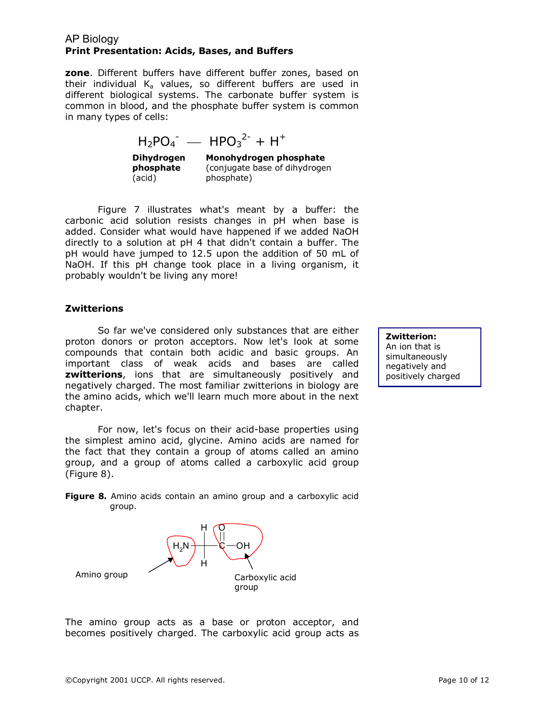**zone**. Different buffers have different buffer zones, based on their individual  $K_a$  values, so different buffers are used in different biological systems. The carbonate buffer system is common in blood, and the phosphate buffer system is common in many types of cells:

$$
H_2PO_4^- - HPO_3^{2-} + H^+
$$

**Dihydrogen phosphate**  (acid)

**Monohydrogen phosphate**  (conjugate base of dihydrogen phosphate)

Figure 7 illustrates what's meant by a buffer: the carbonic acid solution resists changes in pH when base is added. Consider what would have happened if we added NaOH directly to a solution at pH 4 that didn't contain a buffer. The pH would have jumped to 12.5 upon the addition of 50 mL of NaOH. If this pH change took place in a living organism, it probably wouldn't be living any more!

### **Zwitterions**

So far we've considered only substances that are either proton donors or proton acceptors. Now let's look at some compounds that contain both acidic and basic groups. An important class of weak acids and bases are called **zwitterions**, ions that are simultaneously positively and negatively charged. The most familiar zwitterions in biology are the amino acids, which we'll learn much more about in the next chapter.

For now, let's focus on their acid-base properties using the simplest amino acid, glycine. Amino acids are named for the fact that they contain a group of atoms called an amino group, and a group of atoms called a carboxylic acid group (Figure 8).

**Figure 8.** Amino acids contain an amino group and a carboxylic acid group.



The amino group acts as a base or proton acceptor, and becomes positively charged. The carboxylic acid group acts as **Zwitterion:** An ion that is simultaneously negatively and positively charged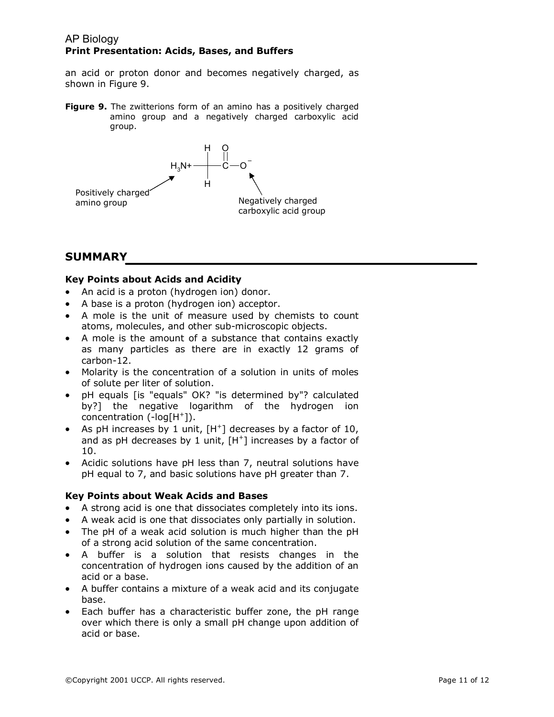an acid or proton donor and becomes negatively charged, as shown in Figure 9.

**Figure 9.** The zwitterions form of an amino has a positively charged amino group and a negatively charged carboxylic acid group.



# **SUMMARY**

# **Key Points about Acids and Acidity**

- · An acid is a proton (hydrogen ion) donor.
- · A base is a proton (hydrogen ion) acceptor.
- · A mole is the unit of measure used by chemists to count atoms, molecules, and other sub-microscopic objects.
- · A mole is the amount of a substance that contains exactly as many particles as there are in exactly 12 grams of  $carbon-12.$
- · Molarity is the concentration of a solution in units of moles of solute per liter of solution.
- · pH equals [is "equals" OK? "is determined by"? calculated by?] the negative logarithm of the hydrogen ion concentration  $(-log[H^+])$ .
- As pH increases by 1 unit, [H<sup>+</sup>] decreases by a factor of 10, and as pH decreases by 1 unit, [H <sup>+</sup>] increases by a factor of 10.
- · Acidic solutions have pH less than 7, neutral solutions have pH equal to 7, and basic solutions have pH greater than 7.

### **Key Points about Weak Acids and Bases**

- · A strong acid is one that dissociates completely into its ions.
- · A weak acid is one that dissociates only partially in solution.
- · The pH of a weak acid solution is much higher than the pH of a strong acid solution of the same concentration.
- · A buffer is a solution that resists changes in the concentration of hydrogen ions caused by the addition of an acid or a base.
- · A buffer contains a mixture of a weak acid and its conjugate base.
- Each buffer has a characteristic buffer zone, the pH range over which there is only a small pH change upon addition of acid or base.